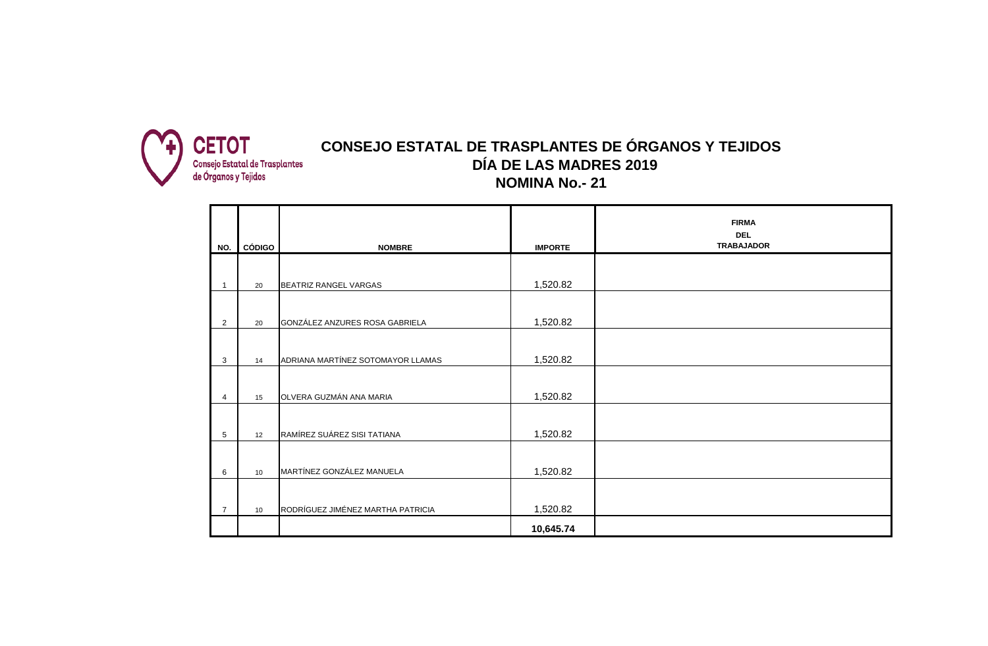

## **DÍA DE LAS MADRES 2019 NOMINA No.- 21 CONSEJO ESTATAL DE TRASPLANTES DE ÓRGANOS Y TEJIDOS**

|                |               |                                   |                | <b>FIRMA</b><br><b>DEL</b> |
|----------------|---------------|-----------------------------------|----------------|----------------------------|
| NO.            | <b>CÓDIGO</b> | <b>NOMBRE</b>                     | <b>IMPORTE</b> | <b>TRABAJADOR</b>          |
|                |               |                                   |                |                            |
|                | 20            | BEATRIZ RANGEL VARGAS             | 1,520.82       |                            |
| $\overline{2}$ | 20            | GONZÁLEZ ANZURES ROSA GABRIELA    | 1,520.82       |                            |
| 3              | 14            | ADRIANA MARTÍNEZ SOTOMAYOR LLAMAS | 1,520.82       |                            |
| 4              | 15            | OLVERA GUZMÁN ANA MARIA           | 1,520.82       |                            |
| 5              | 12            | RAMÍREZ SUÁREZ SISI TATIANA       | 1,520.82       |                            |
| 6              | 10            | MARTÍNEZ GONZÁLEZ MANUELA         | 1,520.82       |                            |
| $\overline{7}$ | 10            | RODRÍGUEZ JIMÉNEZ MARTHA PATRICIA | 1,520.82       |                            |
|                |               |                                   | 10,645.74      |                            |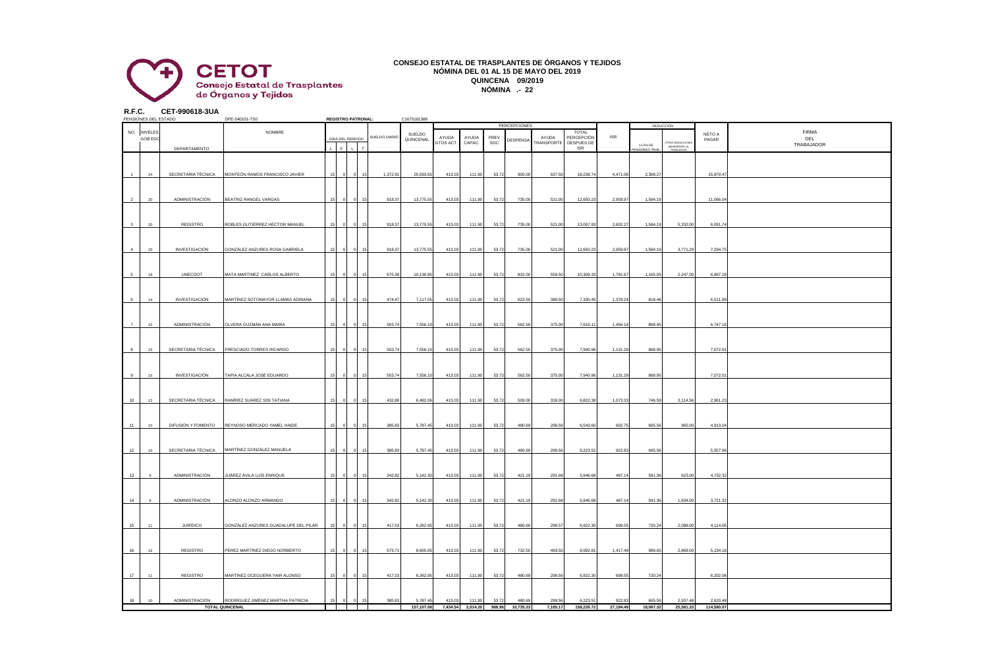

## **CONSEJO ESTATAL DE TRASPLANTES DE ÓRGANOS Y TEJIDOS NÓMINA DEL 01 AL 15 DE MAYO DEL 2019 QUINCENA 09/2019 NÓMINA .- 22**

**R.F.C. CET-990618-3UA**

|                      | PENSIONES DEL ESTADO |                    | DPE-540101-TS0                                 |  | <b>REGISTRO PATRONAL:</b> |               | C1675161388 |           |          |        |              |                          |                     |            |                           |                                                  |            |                   |
|----------------------|----------------------|--------------------|------------------------------------------------|--|---------------------------|---------------|-------------|-----------|----------|--------|--------------|--------------------------|---------------------|------------|---------------------------|--------------------------------------------------|------------|-------------------|
|                      |                      |                    |                                                |  |                           |               |             |           |          |        | PERCEPCIONES |                          |                     |            |                           | DEDUCCIÓN                                        |            |                   |
|                      | NO. NIVELES          |                    | NOMBRE                                         |  |                           | SUELDO DIARIO | SUELDO      | AYUDA     | AYUDA    | PREV   |              | AYUDA                    | TOTAL<br>PERCEPCIÓN | <b>ISR</b> |                           |                                                  | NETO A     | <b>FIRMA</b>      |
|                      | GOB ED               |                    |                                                |  | DÍAS DEL PERIODO          |               | QUINCENAL   | GTOS ACT. | CAPAC.   | SOC    | DESPENSA     | <b><i>FRANSPORTE</i></b> | DESPUES DE          |            |                           |                                                  | PAGAR      | DEL<br>TRABAJADOR |
|                      |                      | DEPARTAMENTO       |                                                |  |                           |               |             |           |          |        |              |                          | <b>ISR</b>          |            | 11.5% DE<br>ENSIONES TRAE | TRAS DEDUCCIONES<br>INEHERENTES AL<br>TRABAJADOR |            |                   |
|                      |                      |                    |                                                |  |                           |               |             |           |          |        |              |                          |                     |            |                           |                                                  |            |                   |
|                      |                      |                    |                                                |  |                           |               |             |           |          |        |              |                          |                     |            |                           |                                                  |            |                   |
|                      |                      |                    |                                                |  |                           |               |             |           |          |        |              |                          |                     |            |                           |                                                  |            |                   |
| $\blacktriangleleft$ | 24                   | SECRETARIA TÉCNICA | MONTEÓN RAMOS FRANCISCO JAVIER                 |  |                           | 1.372.91      | 20,593.65   | 413.03    | 111.90   | 53.72  | 900.00       | 637.50                   | 18,238.74           | 4.471.06   | 2.368.27                  |                                                  | 15,870.47  |                   |
|                      |                      |                    |                                                |  |                           |               |             |           |          |        |              |                          |                     |            |                           |                                                  |            |                   |
|                      |                      |                    |                                                |  |                           |               |             |           |          |        |              |                          |                     |            |                           |                                                  |            |                   |
| $\mathcal{P}$        | 20                   | ADMINISTRACIÓN     | BEATRIZ RANGEL VARGAS                          |  |                           | 918.37        | 13,775.55   | 413.03    | 111.90   | 53.72  | 735.00       | 521.00                   | 12,650.23           | 2,959.97   | 1,584.19                  |                                                  | 11,066.04  |                   |
|                      |                      |                    |                                                |  |                           |               |             |           |          |        |              |                          |                     |            |                           |                                                  |            |                   |
|                      |                      |                    |                                                |  |                           |               |             |           |          |        |              |                          |                     |            |                           |                                                  |            |                   |
|                      |                      |                    |                                                |  |                           |               |             |           |          |        |              |                          |                     |            |                           |                                                  |            |                   |
| 3                    | 20                   | REGISTRO           | ROBLES GUTIÉRREZ HÉCTOR MANUEL                 |  |                           | 918.37        | 13,775.55   | 413.03    | 111.90   | 53.72  | 735.00       | 521.00                   | 13,007.93           | 2,602.27   | 1,584.19                  | 5,332.00                                         | 6,091.74   |                   |
|                      |                      |                    |                                                |  |                           |               |             |           |          |        |              |                          |                     |            |                           |                                                  |            |                   |
|                      |                      |                    |                                                |  |                           |               |             |           |          |        |              |                          |                     |            |                           |                                                  |            |                   |
| $\overline{a}$       | 20                   | INVESTIGACIÓN      | GONZÁLEZ ANZURES ROSA GABRIELA                 |  |                           | 918.37        | 13,775.55   | 413.03    | 111.90   | 53.72  | 735.00       | 521.00                   | 12,650.23           | 2,959.97   | 1,584.19                  | 3,771.29                                         | 7,294.75   |                   |
|                      |                      |                    |                                                |  |                           |               |             |           |          |        |              |                          |                     |            |                           |                                                  |            |                   |
|                      |                      |                    |                                                |  |                           |               |             |           |          |        |              |                          |                     |            |                           |                                                  |            |                   |
|                      |                      |                    |                                                |  |                           |               |             |           |          |        |              |                          |                     |            |                           |                                                  |            |                   |
| 5                    | 18                   | UNECDOT            | MATA MARTINEZ CARLOS ALBERTO                   |  | $\Omega$                  | 675.39        | 10,130.85   | 413.03    | 111.90   | 53.72  | 832.00       | 559.50                   | 10,309.33           | 1,791.67   | 1,165.05                  | 2,247.00                                         | 6,897.28   |                   |
|                      |                      |                    |                                                |  |                           |               |             |           |          |        |              |                          |                     |            |                           |                                                  |            |                   |
|                      |                      |                    |                                                |  |                           |               |             |           |          |        |              |                          |                     |            |                           |                                                  |            |                   |
|                      | 14                   |                    |                                                |  |                           | 474.47        |             |           |          |        |              |                          |                     |            |                           |                                                  |            |                   |
| 6                    |                      | INVESTIGACIÓN      | MARTÍNEZ SOTOMAYOR LLAMAS ADRIANA              |  |                           |               | 7,117.05    | 413.03    | 111.90   | 53.72  | 623.50       | 389.50                   | 7,330.45            | 1,378.24   | 818.46                    |                                                  | 6,511.99   |                   |
|                      |                      |                    |                                                |  |                           |               |             |           |          |        |              |                          |                     |            |                           |                                                  |            |                   |
|                      |                      |                    |                                                |  |                           |               |             |           |          |        |              |                          |                     |            |                           |                                                  |            |                   |
| $\overline{7}$       | 15 <sub>15</sub>     | ADMINISTRACIÓN     | OLVERA GUZMÁN ANA MARÍA                        |  |                           | 503.74        | 7,556.10    | 413.03    | 111.90   | 53.72  | 562.50       | 375.00                   | 7,616.11            | 1,456.14   | 868.95                    |                                                  | 6,747.16   |                   |
|                      |                      |                    |                                                |  |                           |               |             |           |          |        |              |                          |                     |            |                           |                                                  |            |                   |
|                      |                      |                    |                                                |  |                           |               |             |           |          |        |              |                          |                     |            |                           |                                                  |            |                   |
|                      |                      |                    |                                                |  |                           |               |             |           |          |        |              |                          |                     |            |                           |                                                  |            |                   |
| 8                    | 15                   | SECRETARIA TÉCNICA | PRESCIADO TORRES RICARDO                       |  | 15                        | 503.74        | 7,556.1     | 413.03    | 111.90   | 53.72  | 562.50       | 375.00                   | 7,940.96            | 1,131.29   | 868.95                    |                                                  | 7,072.0    |                   |
|                      |                      |                    |                                                |  |                           |               |             |           |          |        |              |                          |                     |            |                           |                                                  |            |                   |
|                      |                      |                    |                                                |  |                           |               |             |           |          |        |              |                          |                     |            |                           |                                                  |            |                   |
| $\mathbf{a}$         | 15                   | INVESTIGACIÓN      | TAPIA ALCALA JOSÉ EDUARDO                      |  |                           | 503.74        | 7.556.1     | 413.03    | 111.90   | 53.72  | 562.50       | 375.00                   | 7.940.96            | 1,131.29   | 868.95                    |                                                  | 7,072.0    |                   |
|                      |                      |                    |                                                |  |                           |               |             |           |          |        |              |                          |                     |            |                           |                                                  |            |                   |
|                      |                      |                    |                                                |  |                           |               |             |           |          |        |              |                          |                     |            |                           |                                                  |            |                   |
|                      |                      |                    |                                                |  |                           |               |             |           |          |        |              |                          |                     |            |                           |                                                  |            |                   |
| 10                   | 12                   |                    | SECRETARIA TÉCNICA RAMÍREZ SUÁREZ SISI TATIANA |  |                           | 432.80        | 6,492.06    | 413.03    | 111.90   | 53.72  | 509.00       | 316.00                   | 6,822.38            | 1,073.33   | 746.59                    | 3,114.56                                         | 2,961.23   |                   |
|                      |                      |                    |                                                |  |                           |               |             |           |          |        |              |                          |                     |            |                           |                                                  |            |                   |
|                      |                      |                    |                                                |  |                           |               |             |           |          |        |              |                          |                     |            |                           |                                                  |            |                   |
| 11                   | 10 <sub>10</sub>     |                    | DIFUSIÓN Y FOMENTO REYNOSO MERCADO YAMEL HAIDE |  |                           | 385.83        | 5,787.45    | 413.03    | 111.90   | 53.72  | 480.69       | 299.56                   | 6,543.60            | 602.75     | 665.56                    | 965.00                                           | 4,913.04   |                   |
|                      |                      |                    |                                                |  |                           |               |             |           |          |        |              |                          |                     |            |                           |                                                  |            |                   |
|                      |                      |                    |                                                |  |                           |               |             |           |          |        |              |                          |                     |            |                           |                                                  |            |                   |
|                      |                      |                    |                                                |  |                           |               |             |           |          |        |              |                          |                     |            |                           |                                                  |            |                   |
| 12                   | 10 <sup>°</sup>      | SECRETARIA TÉCNICA | MARTÍNEZ GONZÁLEZ MANUELA                      |  |                           | 385.83        | 5,787.45    | 413.03    | 111.90   | 53.72  | 480.69       | 299.56                   | 6,223.52            | 922.83     | 665.56                    |                                                  | 5,557.96   |                   |
|                      |                      |                    |                                                |  |                           |               |             |           |          |        |              |                          |                     |            |                           |                                                  |            |                   |
|                      |                      |                    |                                                |  |                           |               |             |           |          |        |              |                          |                     |            |                           |                                                  |            |                   |
| 13                   |                      | ADMINISTRACIÓN     | JUÁREZ ÁVILA LUÍS ENRIQUE                      |  | $\Omega$<br>15            | 342.82        | 5,142.30    | 413.03    | 111.90   | 53.72  | 421.19       | 291.68                   | 5,946.68            | 487.14     | 591.36                    | 623.00                                           | 4,732.32   |                   |
|                      |                      |                    |                                                |  |                           |               |             |           |          |        |              |                          |                     |            |                           |                                                  |            |                   |
|                      |                      |                    |                                                |  |                           |               |             |           |          |        |              |                          |                     |            |                           |                                                  |            |                   |
|                      |                      |                    |                                                |  |                           |               |             |           |          |        |              |                          |                     |            |                           |                                                  |            |                   |
| 14                   |                      | ADMINISTRACIÓN     | ALONZO ALONZO ARMANDO                          |  |                           | 342.82        | 5,142.30    | 413.03    | 111.90   | 53.72  | 421.19       | 291.68                   | 5,946.68            | 487.14     | 591.36                    | 1,634.00                                         | 3,721.3    |                   |
|                      |                      |                    |                                                |  |                           |               |             |           |          |        |              |                          |                     |            |                           |                                                  |            |                   |
|                      |                      |                    |                                                |  |                           |               |             |           |          |        |              |                          |                     |            |                           |                                                  |            |                   |
| 15                   | 11                   | <b>JURÍDICO</b>    | GONZÁLEZ ANZURES GUADALUPE DEL PILAR           |  |                           | 417.53        | 6,262.95    | 413.03    | 111.90   | 53.72  | 480.69       | 299.57                   | 6,922.30            | 699.55     | 720.24                    | 2,088.00                                         | 4,114.06   |                   |
|                      |                      |                    |                                                |  |                           |               |             |           |          |        |              |                          |                     |            |                           |                                                  |            |                   |
|                      |                      |                    |                                                |  |                           |               |             |           |          |        |              |                          |                     |            |                           |                                                  |            |                   |
|                      |                      |                    |                                                |  |                           |               |             |           |          |        |              |                          |                     |            |                           |                                                  |            |                   |
| 16                   | 16                   | REGISTRO           | PEREZ MARTÍNEZ DIEGO NORBERTO                  |  | $\Omega$<br>15            | 573.71        | 8,605.65    | 413.03    | 111.90   | 53.72  | 732.50       | 493.50                   | 8,992.81            | 1,417.49   | 989.65                    | 2,869.00                                         | 5,134.16   |                   |
|                      |                      |                    |                                                |  |                           |               |             |           |          |        |              |                          |                     |            |                           |                                                  |            |                   |
|                      |                      |                    |                                                |  |                           |               |             |           |          |        |              |                          |                     |            |                           |                                                  |            |                   |
| 17                   | 44                   | REGISTRO           |                                                |  |                           |               |             |           |          |        |              |                          |                     | 699.55     |                           |                                                  |            |                   |
|                      |                      |                    | MARTÍNEZ OCEGUERA YAIR ALONSO                  |  |                           | 417.53        | 6,262.95    | 413.03    | 111.90   | 53.72  | 480.69       | 299.56                   | 6,922.30            |            | 720.24                    |                                                  | 6,202.06   |                   |
|                      |                      |                    |                                                |  |                           |               |             |           |          |        |              |                          |                     |            |                           |                                                  |            |                   |
|                      |                      |                    |                                                |  |                           |               |             |           |          |        |              |                          |                     |            |                           |                                                  |            |                   |
| 18                   | 10                   | ADMINISTRACIÓN     | RODRÍGUEZ JIMÉNEZ MARTHA PATRICIA              |  | $\mathbf{0}$<br>15        | 385.83        | 5,787.45    | 413.03    | 111.90   | 53.72  | 480.69       | 299.56                   | 6,223.51            | 922.83     | 665.56                    | 2,937.48                                         | 2.620.48   |                   |
|                      |                      |                    | <b>TOTAL QUINCENAL</b>                         |  |                           |               | 157,107.06  | 7.434.54  | 2.014.20 | 966.96 | 10.735.33    | 7.165.17                 | 158,228,72          | 27.194.49  | 18.067.32                 | 25.581.33                                        | 114,580.07 |                   |